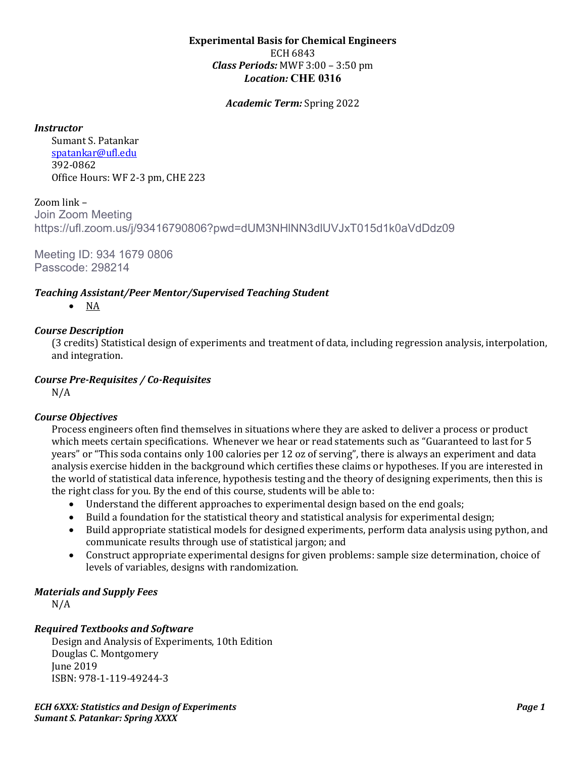#### **Experimental Basis for Chemical Engineers** ECH 6843 *Class Periods:* MWF 3:00 – 3:50 pm *Location:* **CHE 0316**

*Academic Term:* Spring 2022

*Instructor*

Sumant S. Patankar [spatankar@ufl.edu](mailto:spatankar@ufl.edu) 392-0862 Office Hours: WF 2-3 pm, CHE 223

Zoom link – Join Zoom Meeting https://ufl.zoom.us/j/93416790806?pwd=dUM3NHlNN3dlUVJxT015d1k0aVdDdz09

Meeting ID: 934 1679 0806 Passcode: 298214

## *Teaching Assistant/Peer Mentor/Supervised Teaching Student*

• NA

## *Course Description*

(3 credits) Statistical design of experiments and treatment of data, including regression analysis, interpolation, and integration.

## *Course Pre-Requisites / Co-Requisites*

N/A

#### *Course Objectives*

Process engineers often find themselves in situations where they are asked to deliver a process or product which meets certain specifications.  Whenever we hear or read statements such as "Guaranteed to last for 5 years" or "This soda contains only 100 calories per 12 oz of serving", there is always an experiment and data analysis exercise hidden in the background which certifies these claims or hypotheses. If you are interested in the world of statistical data inference, hypothesis testing and the theory of designing experiments, then this is the right class for you. By the end of this course, students will be able to:

- Understand the different approaches to experimental design based on the end goals;
- Build a foundation for the statistical theory and statistical analysis for experimental design;
- Build appropriate statistical models for designed experiments, perform data analysis using python, and communicate results through use of statistical jargon; and
- Construct appropriate experimental designs for given problems: sample size determination, choice of levels of variables, designs with randomization.

# *Materials and Supply Fees*

N/A

# *Required Textbooks and Software*

Design and Analysis of Experiments, 10th Edition Douglas C. Montgomery June 2019 ISBN: 978-1-119-49244-3

*ECH 6XXX: Statistics and Design of Experiments Page 1 Sumant S. Patankar: Spring XXXX*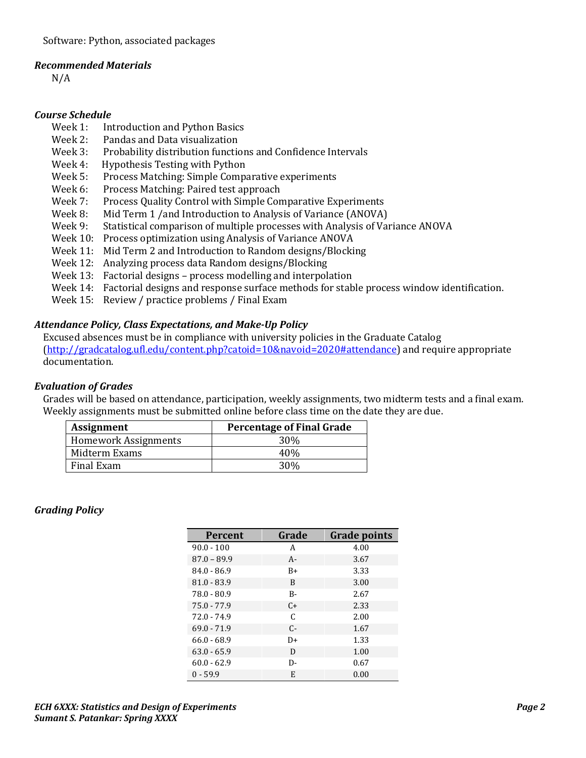#### *Recommended Materials*

N/A

#### *Course Schedule*

- Week 1: Introduction and Python Basics<br>Week 2: Pandas and Data visualization
- Week 2: Pandas and Data visualization<br>Week 3: Probability distribution function
- Week 3: Probability distribution functions and Confidence Intervals<br>Week 4: Hypothesis Testing with Python
- Week 4: Hypothesis Testing with Python<br>Week 5: Process Matching: Simple Comp.
- Week 5: Process Matching: Simple Comparative experiments<br>Week 6: Process Matching: Paired test approach
- Week 6: Process Matching: Paired test approach<br>Week 7: Process Ouality Control with Simple Con
- Week 7: Process Quality Control with Simple Comparative Experiments<br>Week 8: Mid Term 1 /and Introduction to Analysis of Variance (ANOVA)
- Week 8: Mid Term 1 /and Introduction to Analysis of Variance (ANOVA)<br>Week 9: Statistical comparison of multiple processes with Analysis of Va
- Statistical comparison of multiple processes with Analysis of Variance ANOVA
- Week 10: Process optimization using Analysis of Variance ANOVA
- Week 11: Mid Term 2 and Introduction to Random designs/Blocking
- Week 12: Analyzing process data Random designs/Blocking
- Week 13: Factorial designs process modelling and interpolation
- Week 14: Factorial designs and response surface methods for stable process window identification.
- Week 15: Review / practice problems / Final Exam

# *Attendance Policy, Class Expectations, and Make-Up Policy*

Excused absences must be in compliance with university policies in the Graduate Catalog [\(http://gradcatalog.ufl.edu/content.php?catoid=10&navoid=2020#attendance\)](http://gradcatalog.ufl.edu/content.php?catoid=10&navoid=2020#attendance) and require appropriate documentation.

#### *Evaluation of Grades*

Grades will be based on attendance, participation, weekly assignments, two midterm tests and a final exam. Weekly assignments must be submitted online before class time on the date they are due.

| <b>Assignment</b>           | <b>Percentage of Final Grade</b> |
|-----------------------------|----------------------------------|
| <b>Homework Assignments</b> | 30%                              |
| Midterm Exams               | 40%                              |
| Final Exam                  | 30%                              |

#### *Grading Policy*

| Percent       | Grade | <b>Grade points</b> |
|---------------|-------|---------------------|
| $90.0 - 100$  | A     | 4.00                |
| $87.0 - 89.9$ | A-    | 3.67                |
| $84.0 - 86.9$ | $B+$  | 3.33                |
| $81.0 - 83.9$ | B     | 3.00                |
| 78.0 - 80.9   | $B -$ | 2.67                |
| $75.0 - 77.9$ | $C+$  | 2.33                |
| $72.0 - 74.9$ | C     | 2.00                |
| $69.0 - 71.9$ | $C-$  | 1.67                |
| $66.0 - 68.9$ | $D+$  | 1.33                |
| $63.0 - 65.9$ | D     | 1.00                |
| $60.0 - 62.9$ | D-    | 0.67                |
| $0 - 59.9$    | E     | 0.00                |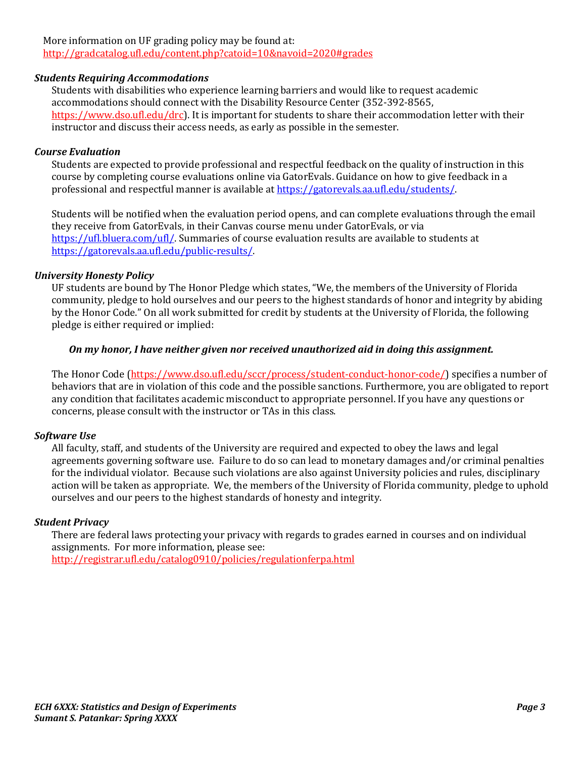## More information on UF grading policy may be found at: <http://gradcatalog.ufl.edu/content.php?catoid=10&navoid=2020#grades>

# *Students Requiring Accommodations*

Students with disabilities who experience learning barriers and would like to request academic accommodations should connect with the Disability Resource Center (352-392-8565, https://www.dso.ufl.edu/drc). It is important for students to share their accommodation letter with their instructor and discuss their access needs, as early as possible in the semester.

## *Course Evaluation*

Students are expected to provide professional and respectful feedback on the quality of instruction in this course by completing course evaluations online via GatorEvals. Guidance on how to give feedback in a professional and respectful manner is available a[t https://gatorevals.aa.ufl.edu/students/.](https://gatorevals.aa.ufl.edu/students/)

Students will be notified when the evaluation period opens, and can complete evaluations through the email they receive from GatorEvals, in their Canvas course menu under GatorEvals, or via [https://ufl.bluera.com/ufl/.](https://ufl.bluera.com/ufl/) Summaries of course evaluation results are available to students at [https://gatorevals.aa.ufl.edu/public-results/.](https://gatorevals.aa.ufl.edu/public-results/)

## *University Honesty Policy*

UF students are bound by The Honor Pledge which states, "We, the members of the University of Florida community, pledge to hold ourselves and our peers to the highest standards of honor and integrity by abiding by the Honor Code." On all work submitted for credit by students at the University of Florida, the following pledge is either required or implied:

## *On my honor, I have neither given nor received unauthorized aid in doing this assignment.*

The Honor Code (https://www.dso.ufl.edu/sccr/process/student-conduct-honor-code/) specifies a number of behaviors that are in violation of this code and the possible sanctions. Furthermore, you are obligated to report any condition that facilitates academic misconduct to appropriate personnel. If you have any questions or concerns, please consult with the instructor or TAs in this class.

# *Software Use*

All faculty, staff, and students of the University are required and expected to obey the laws and legal agreements governing software use. Failure to do so can lead to monetary damages and/or criminal penalties for the individual violator. Because such violations are also against University policies and rules, disciplinary action will be taken as appropriate. We, the members of the University of Florida community, pledge to uphold ourselves and our peers to the highest standards of honesty and integrity.

#### *Student Privacy*

There are federal laws protecting your privacy with regards to grades earned in courses and on individual assignments. For more information, please see: <http://registrar.ufl.edu/catalog0910/policies/regulationferpa.html>